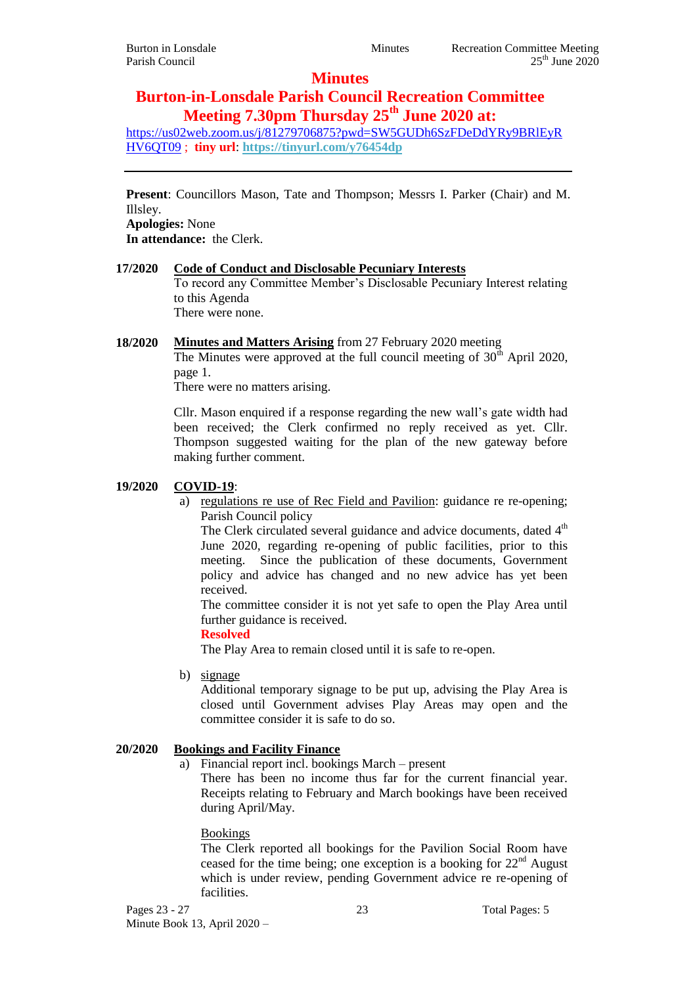# **Minutes**

# **Burton-in-Lonsdale Parish Council Recreation Committee Meeting 7.30pm Thursday 25th June 2020 at:**

[https://us02web.zoom.us/j/81279706875?pwd=SW5GUDh6SzFDeDdYRy9BRlEyR](https://us02web.zoom.us/j/81279706875?pwd=SW5GUDh6SzFDeDdYRy9BRlEyRHV6QT09) [HV6QT09](https://us02web.zoom.us/j/81279706875?pwd=SW5GUDh6SzFDeDdYRy9BRlEyRHV6QT09) ; **tiny url**: **<https://tinyurl.com/y76454dp>**

**Present**: Councillors Mason, Tate and Thompson; Messrs I. Parker (Chair) and M. Illsley.

**Apologies:** None

**In attendance:** the Clerk.

#### **17/2020 Code of Conduct and Disclosable Pecuniary Interests** To record any Committee Member's Disclosable Pecuniary Interest relating to this Agenda There were none.

# **18/2020 Minutes and Matters Arising** from 27 February 2020 meeting

The Minutes were approved at the full council meeting of  $30<sup>th</sup>$  April 2020, page 1.

There were no matters arising.

Cllr. Mason enquired if a response regarding the new wall's gate width had been received; the Clerk confirmed no reply received as yet. Cllr. Thompson suggested waiting for the plan of the new gateway before making further comment.

#### **19/2020 COVID-19**:

a) regulations re use of Rec Field and Pavilion: guidance re re-opening; Parish Council policy

The Clerk circulated several guidance and advice documents, dated  $4<sup>th</sup>$ June 2020, regarding re-opening of public facilities, prior to this meeting. Since the publication of these documents, Government policy and advice has changed and no new advice has yet been received.

The committee consider it is not yet safe to open the Play Area until further guidance is received.

#### **Resolved**

The Play Area to remain closed until it is safe to re-open.

b) signage

Additional temporary signage to be put up, advising the Play Area is closed until Government advises Play Areas may open and the committee consider it is safe to do so.

# **20/2020 Bookings and Facility Finance**

a) Financial report incl. bookings March – present

There has been no income thus far for the current financial year. Receipts relating to February and March bookings have been received during April/May.

#### Bookings

The Clerk reported all bookings for the Pavilion Social Room have ceased for the time being; one exception is a booking for  $22<sup>nd</sup>$  August which is under review, pending Government advice re re-opening of facilities.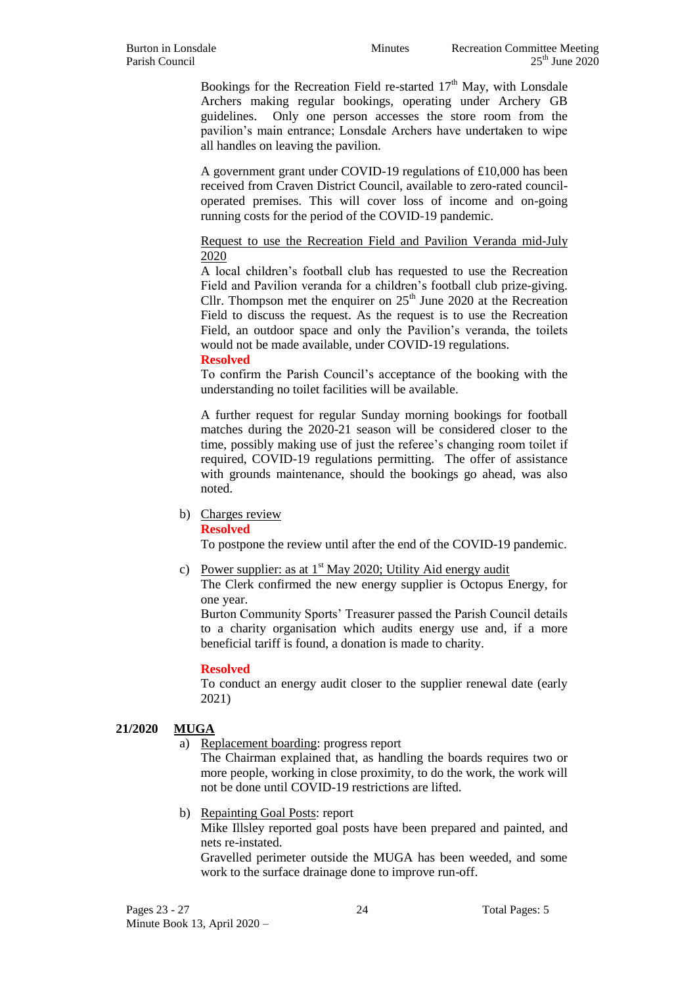Bookings for the Recreation Field re-started  $17<sup>th</sup>$  May, with Lonsdale Archers making regular bookings, operating under Archery GB guidelines. Only one person accesses the store room from the pavilion's main entrance; Lonsdale Archers have undertaken to wipe all handles on leaving the pavilion.

A government grant under COVID-19 regulations of £10,000 has been received from Craven District Council, available to zero-rated counciloperated premises. This will cover loss of income and on-going running costs for the period of the COVID-19 pandemic.

#### Request to use the Recreation Field and Pavilion Veranda mid-July 2020

A local children's football club has requested to use the Recreation Field and Pavilion veranda for a children's football club prize-giving. Cllr. Thompson met the enquirer on  $25<sup>th</sup>$  June 2020 at the Recreation Field to discuss the request. As the request is to use the Recreation Field, an outdoor space and only the Pavilion's veranda, the toilets would not be made available, under COVID-19 regulations.

#### **Resolved**

To confirm the Parish Council's acceptance of the booking with the understanding no toilet facilities will be available.

A further request for regular Sunday morning bookings for football matches during the 2020-21 season will be considered closer to the time, possibly making use of just the referee's changing room toilet if required, COVID-19 regulations permitting. The offer of assistance with grounds maintenance, should the bookings go ahead, was also noted.

#### b) Charges review

#### **Resolved**

To postpone the review until after the end of the COVID-19 pandemic.

c) Power supplier: as at  $1<sup>st</sup>$  May 2020; Utility Aid energy audit

The Clerk confirmed the new energy supplier is Octopus Energy, for one year.

Burton Community Sports' Treasurer passed the Parish Council details to a charity organisation which audits energy use and, if a more beneficial tariff is found, a donation is made to charity.

#### **Resolved**

To conduct an energy audit closer to the supplier renewal date (early 2021)

#### **21/2020 MUGA**

a) Replacement boarding: progress report

The Chairman explained that, as handling the boards requires two or more people, working in close proximity, to do the work, the work will not be done until COVID-19 restrictions are lifted.

b) Repainting Goal Posts: report

Mike Illsley reported goal posts have been prepared and painted, and nets re-instated.

Gravelled perimeter outside the MUGA has been weeded, and some work to the surface drainage done to improve run-off.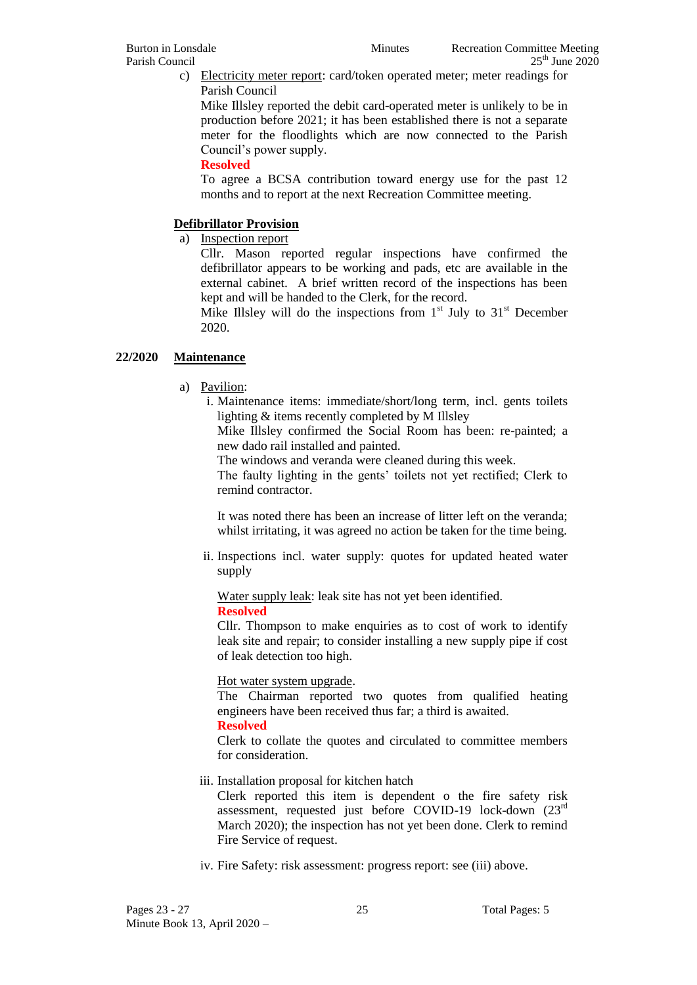c) Electricity meter report: card/token operated meter; meter readings for Parish Council

Mike Illsley reported the debit card-operated meter is unlikely to be in production before 2021; it has been established there is not a separate meter for the floodlights which are now connected to the Parish Council's power supply.

#### **Resolved**

To agree a BCSA contribution toward energy use for the past 12 months and to report at the next Recreation Committee meeting.

# **Defibrillator Provision**

a) Inspection report

Cllr. Mason reported regular inspections have confirmed the defibrillator appears to be working and pads, etc are available in the external cabinet. A brief written record of the inspections has been kept and will be handed to the Clerk, for the record.

Mike Illsley will do the inspections from  $1<sup>st</sup>$  July to  $31<sup>st</sup>$  December 2020.

# **22/2020 Maintenance**

- a) Pavilion:
	- i. Maintenance items: immediate/short/long term, incl. gents toilets lighting & items recently completed by M Illsley

Mike Illsley confirmed the Social Room has been: re-painted; a new dado rail installed and painted.

The windows and veranda were cleaned during this week.

The faulty lighting in the gents' toilets not yet rectified; Clerk to remind contractor.

It was noted there has been an increase of litter left on the veranda; whilst irritating, it was agreed no action be taken for the time being.

ii. Inspections incl. water supply: quotes for updated heated water supply

Water supply leak: leak site has not yet been identified. **Resolved**

Cllr. Thompson to make enquiries as to cost of work to identify leak site and repair; to consider installing a new supply pipe if cost of leak detection too high.

# Hot water system upgrade.

The Chairman reported two quotes from qualified heating engineers have been received thus far; a third is awaited.

# **Resolved**

Clerk to collate the quotes and circulated to committee members for consideration.

iii. Installation proposal for kitchen hatch

Clerk reported this item is dependent o the fire safety risk assessment, requested just before COVID-19 lock-down (23rd March 2020); the inspection has not yet been done. Clerk to remind Fire Service of request.

iv. Fire Safety: risk assessment: progress report: see (iii) above.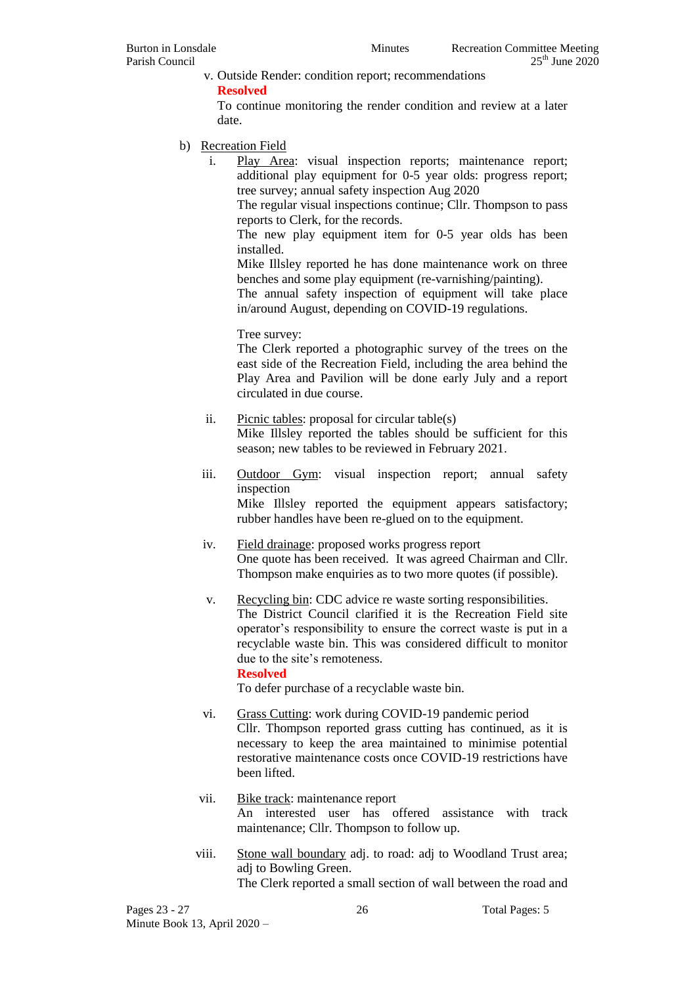v. Outside Render: condition report; recommendations

**Resolved**

To continue monitoring the render condition and review at a later date.

- b) Recreation Field
	- i. Play Area: visual inspection reports; maintenance report; additional play equipment for 0-5 year olds: progress report; tree survey; annual safety inspection Aug 2020

The regular visual inspections continue; Cllr. Thompson to pass reports to Clerk, for the records.

The new play equipment item for 0-5 year olds has been installed.

Mike Illsley reported he has done maintenance work on three benches and some play equipment (re-varnishing/painting).

The annual safety inspection of equipment will take place in/around August, depending on COVID-19 regulations.

Tree survey:

The Clerk reported a photographic survey of the trees on the east side of the Recreation Field, including the area behind the Play Area and Pavilion will be done early July and a report circulated in due course.

- ii. Picnic tables: proposal for circular table(s) Mike Illsley reported the tables should be sufficient for this season; new tables to be reviewed in February 2021.
- iii. Outdoor Gym: visual inspection report; annual safety inspection

Mike Illsley reported the equipment appears satisfactory; rubber handles have been re-glued on to the equipment.

- iv. Field drainage: proposed works progress report One quote has been received. It was agreed Chairman and Cllr. Thompson make enquiries as to two more quotes (if possible).
- v. Recycling bin: CDC advice re waste sorting responsibilities. The District Council clarified it is the Recreation Field site operator's responsibility to ensure the correct waste is put in a recyclable waste bin. This was considered difficult to monitor due to the site's remoteness.

#### **Resolved**

To defer purchase of a recyclable waste bin.

- vi. Grass Cutting: work during COVID-19 pandemic period Cllr. Thompson reported grass cutting has continued, as it is necessary to keep the area maintained to minimise potential restorative maintenance costs once COVID-19 restrictions have been lifted.
- vii. Bike track: maintenance report An interested user has offered assistance with track maintenance; Cllr. Thompson to follow up.
- viii. Stone wall boundary adj. to road: adj to Woodland Trust area; adj to Bowling Green. The Clerk reported a small section of wall between the road and